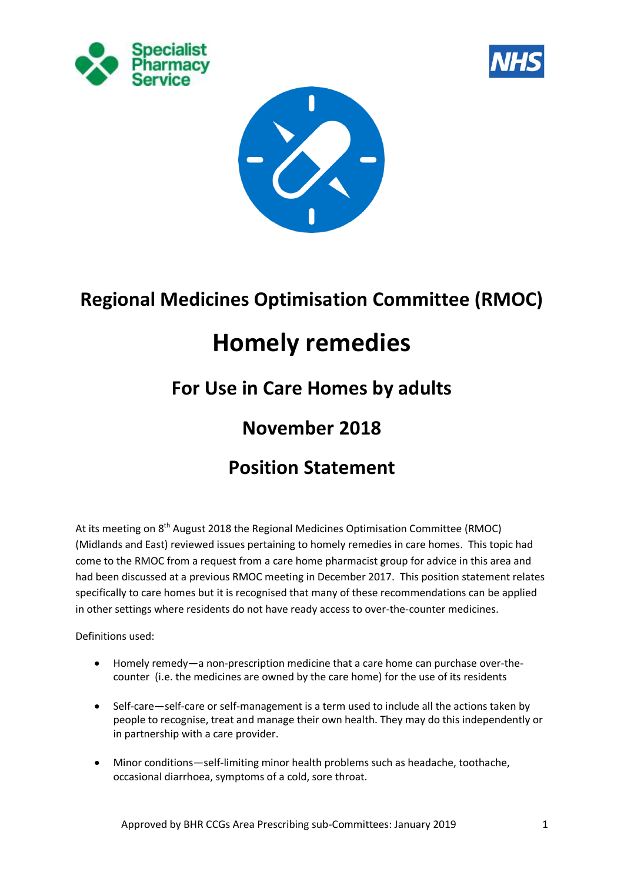





# **Regional Medicines Optimisation Committee (RMOC)**

# **Homely remedies**

# **For Use in Care Homes by adults**

### **November 2018**

# **Position Statement**

At its meeting on 8<sup>th</sup> August 2018 the Regional Medicines Optimisation Committee (RMOC) (Midlands and East) reviewed issues pertaining to homely remedies in care homes. This topic had come to the RMOC from a request from a care home pharmacist group for advice in this area and had been discussed at a previous RMOC meeting in December 2017. This position statement relates specifically to care homes but it is recognised that many of these recommendations can be applied in other settings where residents do not have ready access to over-the-counter medicines.

Definitions used:

- Homely remedy—a non-prescription medicine that a care home can purchase over-thecounter (i.e. the medicines are owned by the care home) for the use of its residents
- Self-care—self-care or self-management is a term used to include all the actions taken by people to recognise, treat and manage their own health. They may do this independently or in partnership with a care provider.
- Minor conditions—self-limiting minor health problems such as headache, toothache, occasional diarrhoea, symptoms of a cold, sore throat.

Approved by BHR CCGs Area Prescribing sub-Committees: January 2019 1